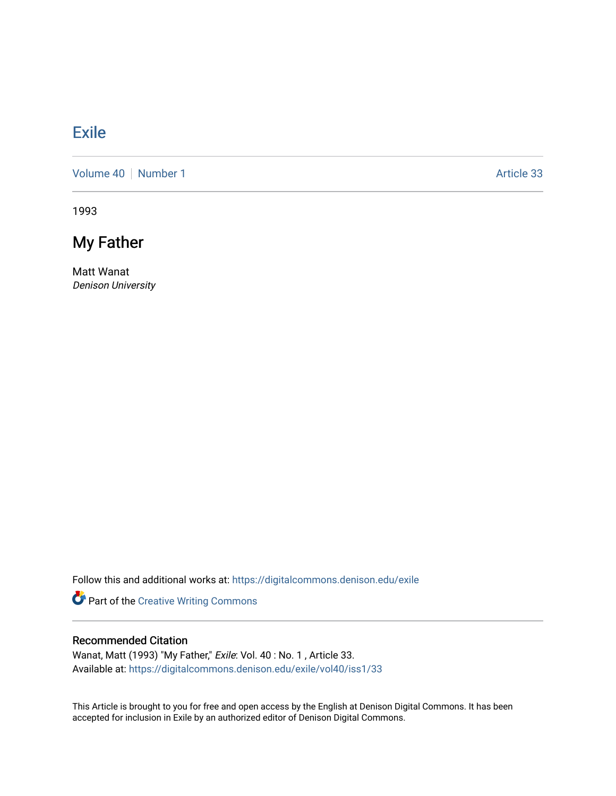## [Exile](https://digitalcommons.denison.edu/exile)

[Volume 40](https://digitalcommons.denison.edu/exile/vol40) | [Number 1](https://digitalcommons.denison.edu/exile/vol40/iss1) Article 33

1993

## My Father

Matt Wanat Denison University

Follow this and additional works at: [https://digitalcommons.denison.edu/exile](https://digitalcommons.denison.edu/exile?utm_source=digitalcommons.denison.edu%2Fexile%2Fvol40%2Fiss1%2F33&utm_medium=PDF&utm_campaign=PDFCoverPages) 

Part of the [Creative Writing Commons](http://network.bepress.com/hgg/discipline/574?utm_source=digitalcommons.denison.edu%2Fexile%2Fvol40%2Fiss1%2F33&utm_medium=PDF&utm_campaign=PDFCoverPages) 

## Recommended Citation

Wanat, Matt (1993) "My Father," Exile: Vol. 40 : No. 1 , Article 33. Available at: [https://digitalcommons.denison.edu/exile/vol40/iss1/33](https://digitalcommons.denison.edu/exile/vol40/iss1/33?utm_source=digitalcommons.denison.edu%2Fexile%2Fvol40%2Fiss1%2F33&utm_medium=PDF&utm_campaign=PDFCoverPages)

This Article is brought to you for free and open access by the English at Denison Digital Commons. It has been accepted for inclusion in Exile by an authorized editor of Denison Digital Commons.